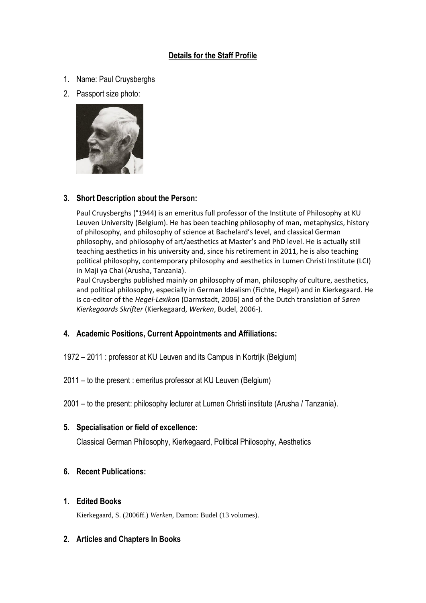# **Details for the Staff Profile**

- 1. Name: Paul Cruysberghs
- 2. Passport size photo:



## **3. Short Description about the Person:**

Paul Cruysberghs (°1944) is an emeritus full professor of the Institute of Philosophy at KU Leuven University (Belgium). He has been teaching philosophy of man, metaphysics, history of philosophy, and philosophy of science at Bachelard's level, and classical German philosophy, and philosophy of art/aesthetics at Master's and PhD level. He is actually still teaching aesthetics in his university and, since his retirement in 2011, he is also teaching political philosophy, contemporary philosophy and aesthetics in Lumen Christi Institute (LCI) in Maji ya Chai (Arusha, Tanzania).

Paul Cruysberghs published mainly on philosophy of man, philosophy of culture, aesthetics, and political philosophy, especially in German Idealism (Fichte, Hegel) and in Kierkegaard. He is co-editor of the *Hegel-Lexikon* (Darmstadt, 2006) and of the Dutch translation of *Søren Kierkegaards Skrifter* (Kierkegaard, *Werken*, Budel, 2006-).

### **4. Academic Positions, Current Appointments and Affiliations:**

- 1972 2011 : professor at KU Leuven and its Campus in Kortrijk (Belgium)
- 2011 to the present : emeritus professor at KU Leuven (Belgium)

2001 – to the present: philosophy lecturer at Lumen Christi institute (Arusha / Tanzania).

### **5. Specialisation or field of excellence:**

Classical German Philosophy, Kierkegaard, Political Philosophy, Aesthetics

### **6. Recent Publications:**

#### **1. Edited Books**

Kierkegaard, S. (2006ff.) *Werken,* Damon: Budel (13 volumes).

### **2. Articles and Chapters In Books**